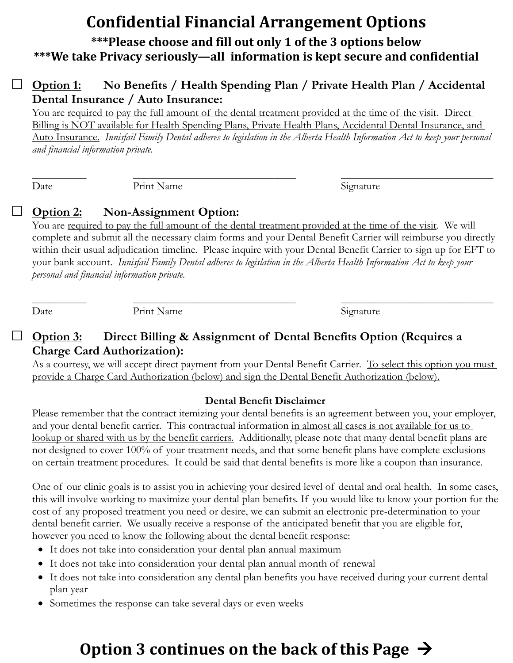# **Confidential Financial Arrangement Options**

# **\*\*\*Please choose and fill out only 1 of the 3 options below \*\*\*We take Privacy seriously—all information is kept secure and confidential**

### **Option 1: No Benefits / Health Spending Plan / Private Health Plan / Accidental Dental Insurance / Auto Insurance:**

You are required to pay the full amount of the dental treatment provided at the time of the visit. Direct Billing is NOT available for Health Spending Plans, Private Health Plans, Accidental Dental Insurance, and Auto Insurance. *Innisfail Family Dental adheres to legislation in the Alberta Health Information Act to keep your personal and financial information private.*

 $\overline{\phantom{a}}$  , and the contribution of the contribution of the contribution of the contribution of the contribution of the contribution of the contribution of the contribution of the contribution of the contribution of the Date Print Name Signature

## **Option 2: Non-Assignment Option:**

You are required to pay the full amount of the dental treatment provided at the time of the visit. We will complete and submit all the necessary claim forms and your Dental Benefit Carrier will reimburse you directly within their usual adjudication timeline. Please inquire with your Dental Benefit Carrier to sign up for EFT to your bank account. *Innisfail Family Dental adheres to legislation in the Alberta Health Information Act to keep your personal and financial information private.*

\_\_\_\_\_\_\_\_\_\_ \_\_\_\_\_\_\_\_\_\_\_\_\_\_\_\_\_\_\_\_\_\_\_\_\_\_\_\_\_\_ \_\_\_\_\_\_\_\_\_\_\_\_\_\_\_\_\_\_\_\_\_\_\_\_\_\_\_\_

Date Print Name Signature

#### **Option 3: Direct Billing & Assignment of Dental Benefits Option (Requires a Charge Card Authorization):**

As a courtesy, we will accept direct payment from your Dental Benefit Carrier. To select this option you must provide a Charge Card Authorization (below) and sign the Dental Benefit Authorization (below).

### **Dental Benefit Disclaimer**

Please remember that the contract itemizing your dental benefits is an agreement between you, your employer, and your dental benefit carrier. This contractual information in almost all cases is not available for us to lookup or shared with us by the benefit carriers. Additionally, please note that many dental benefit plans are not designed to cover 100% of your treatment needs, and that some benefit plans have complete exclusions on certain treatment procedures. It could be said that dental benefits is more like a coupon than insurance.

One of our clinic goals is to assist you in achieving your desired level of dental and oral health. In some cases, this will involve working to maximize your dental plan benefits. If you would like to know your portion for the cost of any proposed treatment you need or desire, we can submit an electronic pre-determination to your dental benefit carrier. We usually receive a response of the anticipated benefit that you are eligible for, however you need to know the following about the dental benefit response:

- It does not take into consideration your dental plan annual maximum
- It does not take into consideration your dental plan annual month of renewal
- It does not take into consideration any dental plan benefits you have received during your current dental plan year
- Sometimes the response can take several days or even weeks

# **Option 3 continues on the back of this Page**